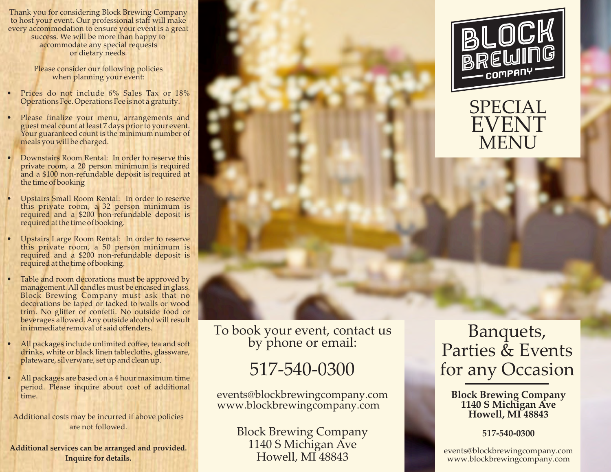Thank you for considering Block Brewing Company to host your event. Our professional staff will make every accommodation to ensure your event is a great success. We will be more than happy to accommodate any special requests or dietary needs.

> Please consider our following policies when planning your event:

- Prices do not include 6% Sales Tax or 18% Operations Fee. Operations Fee is not a gratuity.
- Please finalize your menu, arrangements and guest meal count at least 7 days prior to your event. Your guaranteed count is the minimum number of meals you will be charged.
- Downstairs Room Rental: In order to reserve this private room, a 20 person minimum is required and a \$100 non-refundable deposit is required at the time of booking
- Upstairs Small Room Rental: In order to reserve this private room, a 32 person minimum is required and a \$200 non-refundable deposit is required at the time of booking.
- Upstairs Large Room Rental: In order to reserve this private room, a 50 person minimum is required and a \$200 non-refundable deposit is required at the time of booking.
- Table and room decorations must be approved by management. All candles must be encased in glass. Block Brewing Company must ask that no decorations be taped or tacked to walls or wood trim. No glitter or confetti. No outside food or beverages allowed. Any outside alcohol will result in immediate removal of said offenders.
- All packages include unlimited coffee, tea and soft drinks, white or black linen tablecloths, glassware, plateware, silverware, set up and clean up.
- All packages are based on a 4 hour maximum time period. Please inquire about cost of additional time.

Additional costs may be incurred if above policies are not followed.

**Additional services can be arranged and provided. Inquire for details.**

To book your event, contact us by phone or email:

# 517-540-0300

events@blockbrewingcompany.com www.blockbrewingcompany.com

> Block Brewing Company 1140 S Michigan Ave Howell, MI 48843



### SPECIAL EVENT MENU

### Banquets, Parties & Events for any Occasion

#### **Block Brewing Company 1140 S Michigan Ave Howell, MI 48843**

**517-540-0300**

events@blockbrewingcompany.com www.blockbrewingcompany.com